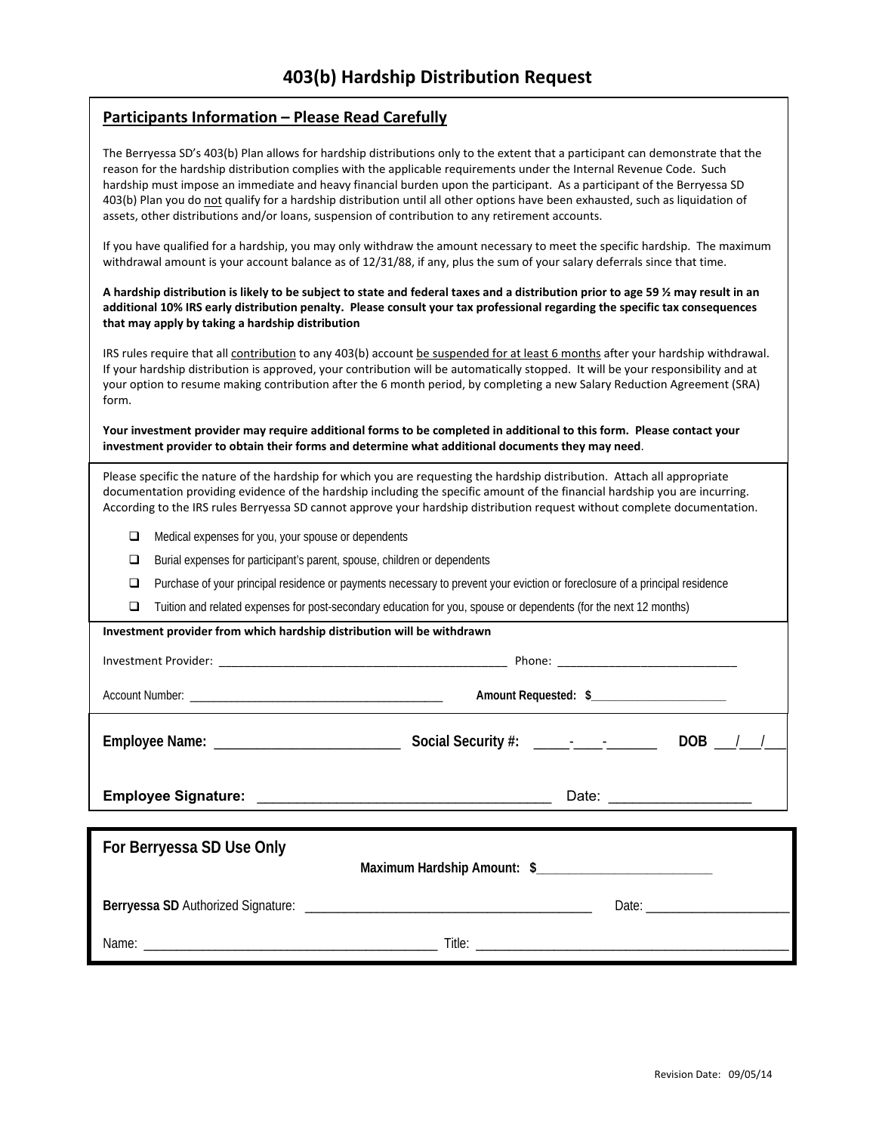# **Participants Information – Please Read Carefully**

The Berryessa SD's 403(b) Plan allows for hardship distributions only to the extent that a participant can demonstrate that the reason for the hardship distribution complies with the applicable requirements under the Internal Revenue Code. Such hardship must impose an immediate and heavy financial burden upon the participant. As a participant of the Berryessa SD 403(b) Plan you do not qualify for a hardship distribution until all other options have been exhausted, such as liquidation of assets, other distributions and/or loans, suspension of contribution to any retirement accounts.

If you have qualified for a hardship, you may only withdraw the amount necessary to meet the specific hardship. The maximum withdrawal amount is your account balance as of 12/31/88, if any, plus the sum of your salary deferrals since that time.

#### A hardship distribution is likely to be subject to state and federal taxes and a distribution prior to age 59 % may result in an additional 10% IRS early distribution penalty. Please consult your tax professional regarding the specific tax consequences **that may apply by taking a hardship distribution**

IRS rules require that all *contribution* to any 403(b) account be suspended for at least 6 months after your hardship withdrawal. If your hardship distribution is approved, your contribution will be automatically stopped. It will be your responsibility and at your option to resume making contribution after the 6 month period, by completing a new Salary Reduction Agreement (SRA) form.

Your investment provider may require additional forms to be completed in additional to this form. Please contact your **investment provider to obtain their forms and determine what additional documents they may need**.

Please specific the nature of the hardship for which you are requesting the hardship distribution. Attach all appropriate documentation providing evidence of the hardship including the specific amount of the financial hardship you are incurring. According to the IRS rules Berryessa SD cannot approve your hardship distribution request without complete documentation.

- Medical expenses for you, your spouse or dependents
- □ Burial expenses for participant's parent, spouse, children or dependents

Name: \_\_\_\_\_\_\_\_\_\_\_\_\_\_\_\_\_\_\_\_\_\_\_\_\_\_\_\_\_\_\_\_\_\_\_\_\_\_\_\_\_\_\_\_\_ Title: \_\_\_\_\_\_\_\_\_\_\_\_\_\_\_\_\_\_\_\_\_\_\_\_\_\_\_\_\_\_\_\_\_\_\_\_\_\_\_\_\_\_\_\_\_\_\_\_

- □ Purchase of your principal residence or payments necessary to prevent your eviction or foreclosure of a principal residence
- $\Box$  Tuition and related expenses for post-secondary education for you, spouse or dependents (for the next 12 months)

| Investment provider from which hardship distribution will be withdrawn |                      |
|------------------------------------------------------------------------|----------------------|
|                                                                        |                      |
|                                                                        | Amount Requested: \$ |
|                                                                        | $DOB$ ___/___/___    |
|                                                                        |                      |
|                                                                        |                      |
| For Berryessa SD Use Only                                              |                      |
|                                                                        |                      |
|                                                                        |                      |